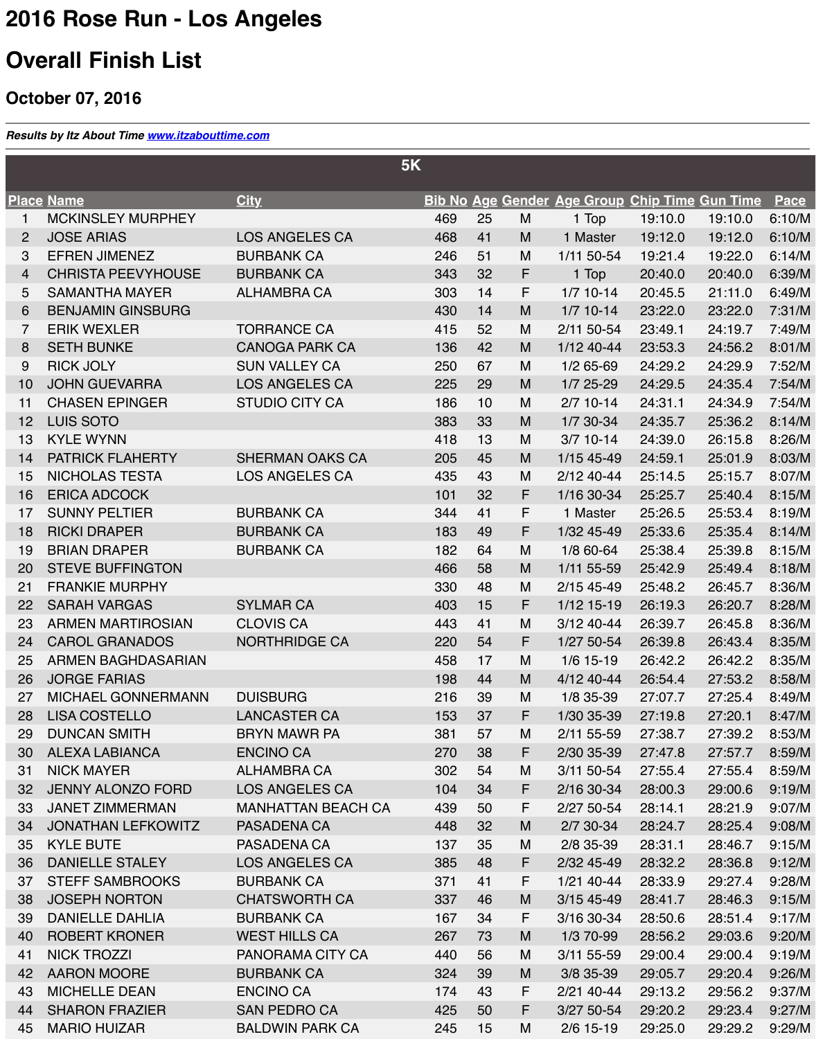| ज         | <del>TUUTTU UTUUTTU</del> | <del>LOO ANVOLLLO OAT</del> |
|-----------|---------------------------|-----------------------------|
| 16        | <b>ERICA ADCOCK</b>       |                             |
| 17        | <b>SUNNY PELTIER</b>      | <b>BURBANK CA</b>           |
| 18        | <b>RICKI DRAPER</b>       | <b>BURBANK CA</b>           |
| 19        | <b>BRIAN DRAPER</b>       | <b>BURBANK CA</b>           |
| <b>20</b> | <b>STEVE BUFFINGTON</b>   |                             |
| 21        | <b>FRANKIE MURPHY</b>     |                             |
| <b>22</b> | <b>SARAH VARGAS</b>       | <b>SYLMAR CA</b>            |
| 23        | <b>ARMEN MARTIROSIAN</b>  | <b>CLOVIS CA</b>            |
| 24        | <b>CAROL GRANADOS</b>     | <b>NORTHRIDGE CA</b>        |
| 25        | <b>ARMEN BAGHDASARIAN</b> |                             |
| 26        | <b>JORGE FARIAS</b>       |                             |
| 27        | <b>MICHAEL GONNERMANN</b> | <b>DUISBURG</b>             |
| 28        | <b>LISA COSTELLO</b>      | <b>LANCASTER CA</b>         |
| <b>29</b> | <b>DUNCAN SMITH</b>       | <b>BRYN MAWR PA</b>         |
| 30        | <b>ALEXA LABIANCA</b>     | <b>ENCINO CA</b>            |
| 31        | <b>NICK MAYER</b>         | <b>ALHAMBRA CA</b>          |
| 32        | JENNY ALONZO FORD         | <b>LOS ANGELES CA</b>       |
| 33        | <b>JANET ZIMMERMAN</b>    | <b>MANHATTAN BEACH CA</b>   |
| 34        | <b>JONATHAN LEFKOWITZ</b> | PASADENA CA                 |
| 35        | <b>KYLE BUTE</b>          | <b>PASADENA CA</b>          |
| 36        | <b>DANIELLE STALEY</b>    | <b>LOS ANGELES CA</b>       |
| 37        | <b>STEFF SAMBROOKS</b>    | <b>BURBANK CA</b>           |
| 38        | <b>JOSEPH NORTON</b>      | <b>CHATSWORTH CA</b>        |
| 39        | <b>DANIELLE DAHLIA</b>    | <b>BURBANK CA</b>           |
| 40        | <b>ROBERT KRONER</b>      | <b>WEST HILLS CA</b>        |
| 41        | NICK TROZZI               | PANORAMA CITY CA            |
| 42        | <b>AARON MOORE</b>        | <b>BURBANK CA</b>           |
| 43        | <b>MICHELLE DEAN</b>      | <b>ENCINO CA</b>            |
| 44        | <b>SHARON FRAZIER</b>     | <b>SAN PEDRO CA</b>         |
|           | 45 MARIO HUIZAR           | <b>BALDWIN PARK CA</b>      |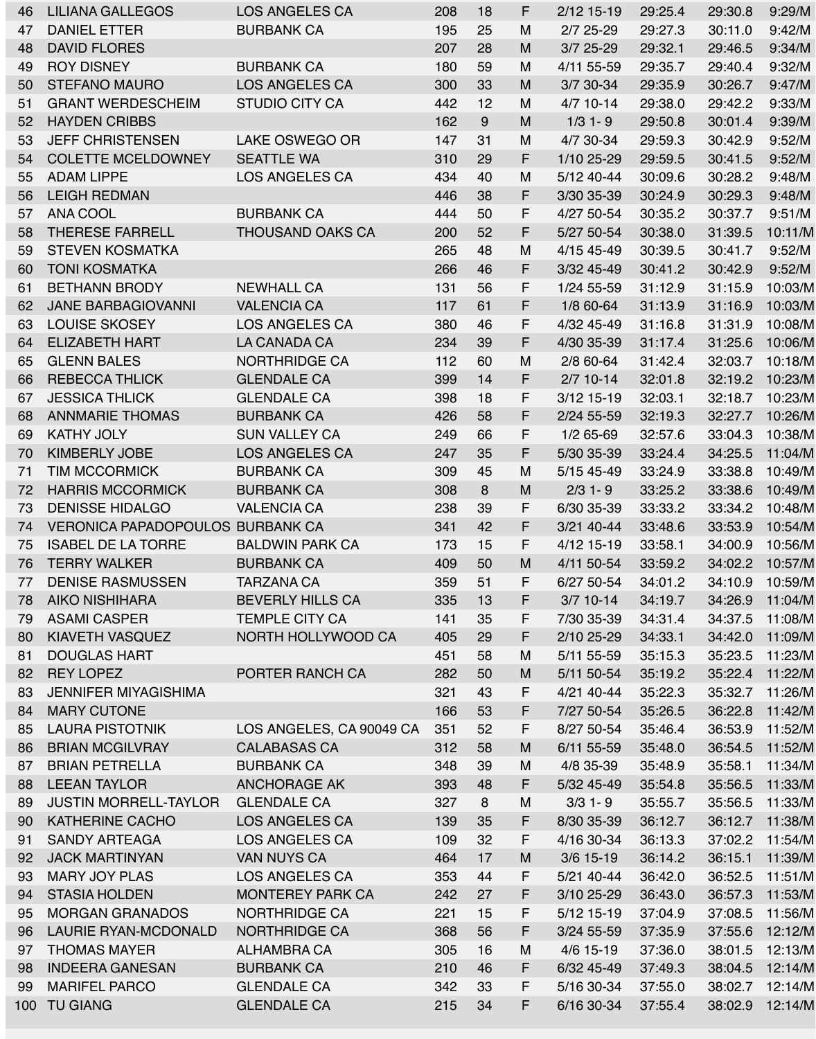| 46  | LILIANA GALLEGOS                        | <b>LOS ANGELES CA</b>    | 208 | 18 | F       | $2/12$ 15-19 | 29:25.4 | 29:30.8 | 9:29/M  |
|-----|-----------------------------------------|--------------------------|-----|----|---------|--------------|---------|---------|---------|
| 47  | <b>DANIEL ETTER</b>                     | <b>BURBANK CA</b>        | 195 | 25 | M       | $2/7$ 25-29  | 29:27.3 | 30:11.0 | 9:42/M  |
| 48  | <b>DAVID FLORES</b>                     |                          | 207 | 28 | M       | $3/7$ 25-29  | 29:32.1 | 29:46.5 | 9:34/M  |
| 49  | <b>ROY DISNEY</b>                       | <b>BURBANK CA</b>        | 180 | 59 | M       | 4/11 55-59   | 29:35.7 | 29:40.4 | 9:32/M  |
| 50  | <b>STEFANO MAURO</b>                    | <b>LOS ANGELES CA</b>    | 300 | 33 | M       | 3/7 30-34    | 29:35.9 | 30:26.7 | 9:47/M  |
| 51  | <b>GRANT WERDESCHEIM</b>                | <b>STUDIO CITY CA</b>    | 442 | 12 | M       | $4/7$ 10-14  | 29:38.0 | 29:42.2 | 9:33/M  |
| 52  | <b>HAYDEN CRIBBS</b>                    |                          | 162 | 9  | M       | $1/3$ 1-9    | 29:50.8 | 30:01.4 | 9:39/M  |
| 53  | <b>JEFF CHRISTENSEN</b>                 | <b>LAKE OSWEGO OR</b>    | 147 | 31 | M       | 4/7 30-34    | 29:59.3 | 30:42.9 | 9:52/M  |
| 54  | <b>COLETTE MCELDOWNEY</b>               | <b>SEATTLE WA</b>        | 310 | 29 | F.      | 1/10 25-29   | 29:59.5 | 30:41.5 | 9:52/M  |
| 55  | <b>ADAM LIPPE</b>                       | <b>LOS ANGELES CA</b>    | 434 | 40 | M       | 5/12 40-44   | 30:09.6 | 30:28.2 | 9:48/M  |
| 56  | <b>LEIGH REDMAN</b>                     |                          | 446 | 38 | F       | 3/30 35-39   | 30:24.9 | 30:29.3 | 9:48/M  |
| 57  | <b>ANA COOL</b>                         | <b>BURBANK CA</b>        | 444 | 50 | F       | 4/27 50-54   | 30:35.2 | 30:37.7 | 9:51/M  |
| 58  | <b>THERESE FARRELL</b>                  | <b>THOUSAND OAKS CA</b>  | 200 | 52 | F.      | 5/27 50-54   | 30:38.0 | 31:39.5 | 10:11/M |
| 59  | <b>STEVEN KOSMATKA</b>                  |                          | 265 | 48 | M       | 4/15 45-49   | 30:39.5 | 30:41.7 | 9:52/M  |
| 60  | <b>TONI KOSMATKA</b>                    |                          | 266 | 46 | F.      | 3/32 45-49   | 30:41.2 | 30:42.9 | 9:52/M  |
| 61  | <b>BETHANN BRODY</b>                    | <b>NEWHALL CA</b>        | 131 | 56 | F       | 1/24 55-59   | 31:12.9 | 31:15.9 | 10:03/M |
| 62  | <b>JANE BARBAGIOVANNI</b>               | <b>VALENCIA CA</b>       | 117 | 61 | F.      | 1/8 60-64    | 31:13.9 | 31:16.9 | 10:03/M |
| 63  | <b>LOUISE SKOSEY</b>                    | <b>LOS ANGELES CA</b>    | 380 | 46 | E.<br>г | 4/32 45-49   | 31:16.8 | 31:31.9 | 10:08/M |
| 64  | <b>ELIZABETH HART</b>                   | LA CANADA CA             | 234 | 39 | F.      | 4/30 35-39   | 31:17.4 | 31:25.6 | 10:06/M |
| 65  | <b>GLENN BALES</b>                      | <b>NORTHRIDGE CA</b>     | 112 | 60 | M       | 2/8 60-64    | 31:42.4 | 32:03.7 | 10:18/M |
| 66  | <b>REBECCA THLICK</b>                   | <b>GLENDALE CA</b>       | 399 | 14 | F       | $2/7$ 10-14  | 32:01.8 | 32:19.2 | 10:23/M |
| 67  | <b>JESSICA THLICK</b>                   | <b>GLENDALE CA</b>       | 398 | 18 | F       | 3/12 15-19   | 32:03.1 | 32:18.7 | 10:23/M |
| 68  | <b>ANNMARIE THOMAS</b>                  | <b>BURBANK CA</b>        | 426 | 58 | F.      | 2/24 55-59   | 32:19.3 | 32:27.7 | 10:26/M |
| 69  | <b>KATHY JOLY</b>                       | <b>SUN VALLEY CA</b>     | 249 | 66 | F.      | $1/2$ 65-69  | 32:57.6 | 33:04.3 | 10:38/M |
| 70  | <b>KIMBERLY JOBE</b>                    | <b>LOS ANGELES CA</b>    | 247 | 35 | F.      | 5/30 35-39   | 33:24.4 | 34:25.5 | 11:04/M |
| 71  | <b>TIM MCCORMICK</b>                    | <b>BURBANK CA</b>        | 309 | 45 | M       | 5/15 45-49   | 33:24.9 | 33:38.8 | 10:49/M |
|     | <b>HARRIS MCCORMICK</b>                 |                          |     | 8  | M       |              |         |         | 10:49/M |
| 72  |                                         | <b>BURBANK CA</b>        | 308 |    | F.      | $2/3$ 1 - 9  | 33:25.2 | 33:38.6 |         |
| 73  | <b>DENISSE HIDALGO</b>                  | <b>VALENCIA CA</b>       | 238 | 39 |         | 6/30 35-39   | 33:33.2 | 33:34.2 | 10:48/M |
| 74  | <b>VERONICA PAPADOPOULOS BURBANK CA</b> |                          | 341 | 42 | F.      | 3/21 40-44   | 33:48.6 | 33:53.9 | 10:54/M |
| 75  | <b>ISABEL DE LA TORRE</b>               | <b>BALDWIN PARK CA</b>   | 173 | 15 | F.      | 4/12 15-19   | 33:58.1 | 34:00.9 | 10:56/M |
| 76  | <b>TERRY WALKER</b>                     | <b>BURBANK CA</b>        | 409 | 50 | M       | 4/11 50-54   | 33:59.2 | 34:02.2 | 10:57/M |
| 77  | <b>DENISE RASMUSSEN</b>                 | TARZANA CA               | 359 | 51 | F.      | 6/27 50-54   | 34:01.2 | 34:10.9 | 10:59/M |
| 78  | <b>AIKO NISHIHARA</b>                   | <b>BEVERLY HILLS CA</b>  | 335 | 13 | F.      | $3/7$ 10-14  | 34:19.7 | 34:26.9 | 11:04/M |
| 79  | <b>ASAMI CASPER</b>                     | <b>TEMPLE CITY CA</b>    | 141 | 35 | F       | 7/30 35-39   | 34:31.4 | 34:37.5 | 11:08/M |
| 80  | <b>KIAVETH VASQUEZ</b>                  | NORTH HOLLYWOOD CA       | 405 | 29 | F       | 2/10 25-29   | 34:33.1 | 34:42.0 | 11:09/M |
| 81  | <b>DOUGLAS HART</b>                     |                          | 451 | 58 | M       | 5/11 55-59   | 35:15.3 | 35:23.5 | 11:23/M |
| 82  | <b>REY LOPEZ</b>                        | PORTER RANCH CA          | 282 | 50 | M       | 5/11 50-54   | 35:19.2 | 35:22.4 | 11:22/M |
| 83  | <b>JENNIFER MIYAGISHIMA</b>             |                          | 321 | 43 | F       | 4/21 40-44   | 35:22.3 | 35:32.7 | 11:26/M |
| 84  | <b>MARY CUTONE</b>                      |                          | 166 | 53 | F.      | 7/27 50-54   | 35:26.5 | 36:22.8 | 11:42/M |
| 85  | <b>LAURA PISTOTNIK</b>                  | LOS ANGELES, CA 90049 CA | 351 | 52 | F       | 8/27 50-54   | 35:46.4 | 36:53.9 | 11:52/M |
| 86  | <b>BRIAN MCGILVRAY</b>                  | <b>CALABASAS CA</b>      | 312 | 58 | M       | 6/11 55-59   | 35:48.0 | 36:54.5 | 11:52/M |
| 87  | <b>BRIAN PETRELLA</b>                   | <b>BURBANK CA</b>        | 348 | 39 | M       | 4/8 35-39    | 35:48.9 | 35:58.1 | 11:34/M |
| 88  | <b>LEEAN TAYLOR</b>                     | <b>ANCHORAGE AK</b>      | 393 | 48 | F.      | 5/32 45-49   | 35:54.8 | 35:56.5 | 11:33/M |
| 89  | <b>JUSTIN MORRELL-TAYLOR</b>            | <b>GLENDALE CA</b>       | 327 | 8  | M       | $3/3$ 1 - 9  | 35:55.7 | 35:56.5 | 11:33/M |
| 90  | <b>KATHERINE CACHO</b>                  | <b>LOS ANGELES CA</b>    | 139 | 35 | F.      | 8/30 35-39   | 36:12.7 | 36:12.7 | 11:38/M |
| 91  | <b>SANDY ARTEAGA</b>                    | <b>LOS ANGELES CA</b>    | 109 | 32 | F       | 4/16 30-34   | 36:13.3 | 37:02.2 | 11:54/M |
| 92  | <b>JACK MARTINYAN</b>                   | <b>VAN NUYS CA</b>       | 464 | 17 | M       | $3/6$ 15-19  | 36:14.2 | 36:15.1 | 11:39/M |
| 93  | <b>MARY JOY PLAS</b>                    | <b>LOS ANGELES CA</b>    | 353 | 44 | F       | 5/21 40-44   | 36:42.0 | 36:52.5 | 11:51/M |
| 94  | <b>STASIA HOLDEN</b>                    | <b>MONTEREY PARK CA</b>  | 242 | 27 | F.      | 3/10 25-29   | 36:43.0 | 36:57.3 | 11:53/M |
| 95  | <b>MORGAN GRANADOS</b>                  | <b>NORTHRIDGE CA</b>     | 221 | 15 | F.      | 5/12 15-19   | 37:04.9 | 37:08.5 | 11:56/M |
| 96  | <b>LAURIE RYAN-MCDONALD</b>             | <b>NORTHRIDGE CA</b>     | 368 | 56 | F.      | 3/24 55-59   | 37:35.9 | 37:55.6 | 12:12/M |
| 97  | <b>THOMAS MAYER</b>                     | ALHAMBRA CA              | 305 | 16 | M       | 4/6 15-19    | 37:36.0 | 38:01.5 | 12:13/M |
| 98  | <b>INDEERA GANESAN</b>                  | <b>BURBANK CA</b>        | 210 | 46 | F.      | 6/32 45-49   | 37:49.3 | 38:04.5 | 12:14/M |
| 99  | <b>MARIFEL PARCO</b>                    | <b>GLENDALE CA</b>       | 342 | 33 | F.      | 5/16 30-34   | 37:55.0 | 38:02.7 | 12:14/M |
| 100 | <b>TU GIANG</b>                         | <b>GLENDALE CA</b>       | 215 | 34 | F.      | 6/16 30-34   | 37:55.4 | 38:02.9 | 12:14/M |
|     |                                         |                          |     |    |         |              |         |         |         |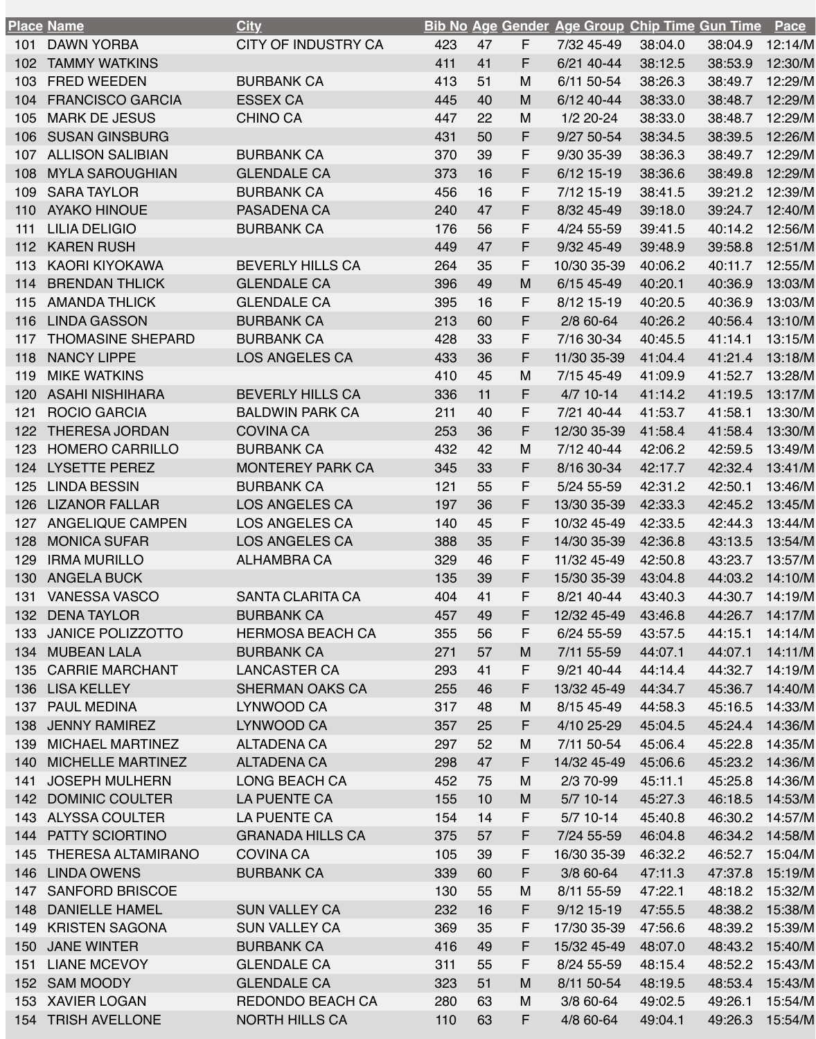|     | <u>Place Name</u>         | <b>City</b>                |     |    |          | <b>Bib No Age Gender Age Group Chip Time Gun Time</b> |         |         | <b>Pace</b> |
|-----|---------------------------|----------------------------|-----|----|----------|-------------------------------------------------------|---------|---------|-------------|
| 101 | <b>DAWN YORBA</b>         | <b>CITY OF INDUSTRY CA</b> | 423 | 47 | F.       | 7/32 45-49                                            | 38:04.0 | 38:04.9 | 12:14/M     |
| 102 | <b>TAMMY WATKINS</b>      |                            | 411 | 41 | F.       | 6/21 40-44                                            | 38:12.5 | 38:53.9 | 12:30/M     |
| 103 | <b>FRED WEEDEN</b>        | <b>BURBANK CA</b>          | 413 | 51 | M        | 6/11 50-54                                            | 38:26.3 | 38:49.7 | 12:29/M     |
| 104 | <b>FRANCISCO GARCIA</b>   | <b>ESSEX CA</b>            | 445 | 40 | M        | 6/12 40-44                                            | 38:33.0 | 38:48.7 | 12:29/M     |
| 105 | <b>MARK DE JESUS</b>      | <b>CHINO CA</b>            | 447 | 22 | M        | $1/2$ 20-24                                           | 38:33.0 | 38:48.7 | 12:29/M     |
| 106 | <b>SUSAN GINSBURG</b>     |                            | 431 | 50 | F.       | 9/27 50-54                                            | 38:34.5 | 38:39.5 | 12:26/M     |
| 107 | <b>ALLISON SALIBIAN</b>   | <b>BURBANK CA</b>          | 370 | 39 | F        | 9/30 35-39                                            | 38:36.3 | 38:49.7 | 12:29/M     |
| 108 | <b>MYLA SAROUGHIAN</b>    | <b>GLENDALE CA</b>         | 373 | 16 | F        | 6/12 15-19                                            | 38:36.6 | 38:49.8 | 12:29/M     |
| 109 | <b>SARA TAYLOR</b>        | <b>BURBANK CA</b>          | 456 | 16 | F.       | 7/12 15-19                                            | 38:41.5 | 39:21.2 | 12:39/M     |
| 110 | <b>AYAKO HINOUE</b>       | <b>PASADENA CA</b>         | 240 | 47 | F.       | 8/32 45-49                                            | 39:18.0 | 39:24.7 | 12:40/M     |
| 111 | <b>LILIA DELIGIO</b>      | <b>BURBANK CA</b>          | 176 | 56 | F        | 4/24 55-59                                            | 39:41.5 | 40:14.2 | 12:56/M     |
| 112 | <b>KAREN RUSH</b>         |                            | 449 | 47 | F.       | 9/32 45-49                                            | 39:48.9 | 39:58.8 | 12:51/M     |
| 113 | <b>KAORI KIYOKAWA</b>     | <b>BEVERLY HILLS CA</b>    | 264 | 35 | F.       | 10/30 35-39                                           | 40:06.2 | 40:11.7 | 12:55/M     |
| 114 | <b>BRENDAN THLICK</b>     | <b>GLENDALE CA</b>         | 396 | 49 | M        | 6/15 45-49                                            | 40:20.1 | 40:36.9 | 13:03/M     |
| 115 | <b>AMANDA THLICK</b>      | <b>GLENDALE CA</b>         | 395 | 16 | F.       | 8/12 15-19                                            | 40:20.5 | 40:36.9 | 13:03/M     |
| 116 | <b>LINDA GASSON</b>       | <b>BURBANK CA</b>          | 213 | 60 | F.       | 2/8 60-64                                             | 40:26.2 | 40:56.4 | 13:10/M     |
| 117 | <b>THOMASINE SHEPARD</b>  | <b>BURBANK CA</b>          | 428 | 33 | F.       | 7/16 30-34                                            | 40:45.5 | 41:14.1 | 13:15/M     |
| 118 | <b>NANCY LIPPE</b>        | <b>LOS ANGELES CA</b>      | 433 | 36 | F.       | 11/30 35-39                                           | 41:04.4 | 41:21.4 | 13:18/M     |
| 119 | <b>MIKE WATKINS</b>       |                            | 410 | 45 | M        | 7/15 45-49                                            | 41:09.9 | 41:52.7 | 13:28/M     |
| 120 | <b>ASAHI NISHIHARA</b>    | <b>BEVERLY HILLS CA</b>    | 336 | 11 | F.       | $4/7$ 10-14                                           | 41:14.2 | 41:19.5 | 13:17/M     |
| 121 | <b>ROCIO GARCIA</b>       | <b>BALDWIN PARK CA</b>     | 211 | 40 | F.       | 7/21 40-44                                            | 41:53.7 | 41:58.1 | 13:30/M     |
| 122 | <b>THERESA JORDAN</b>     | <b>COVINA CA</b>           | 253 | 36 | F.       | 12/30 35-39                                           | 41:58.4 | 41:58.4 | 13:30/M     |
| 123 | <b>HOMERO CARRILLO</b>    | <b>BURBANK CA</b>          | 432 | 42 | M        | 7/12 40-44                                            | 42:06.2 | 42:59.5 | 13:49/M     |
| 124 | <b>LYSETTE PEREZ</b>      | <b>MONTEREY PARK CA</b>    | 345 | 33 | F.       | 8/16 30-34                                            | 42:17.7 | 42:32.4 | 13:41/M     |
| 125 | <b>LINDA BESSIN</b>       | <b>BURBANK CA</b>          | 121 | 55 | F.       | 5/24 55-59                                            | 42:31.2 | 42:50.1 | 13:46/M     |
| 126 | <b>LIZANOR FALLAR</b>     | <b>LOS ANGELES CA</b>      | 197 | 36 | F.       | 13/30 35-39                                           | 42:33.3 | 42:45.2 | 13:45/M     |
| 127 | <b>ANGELIQUE CAMPEN</b>   | <b>LOS ANGELES CA</b>      | 140 | 45 | F.       | 10/32 45-49                                           | 42:33.5 | 42:44.3 | 13:44/M     |
| 128 | <b>MONICA SUFAR</b>       | <b>LOS ANGELES CA</b>      | 388 | 35 | F.       | 14/30 35-39                                           | 42:36.8 | 43:13.5 | 13:54/M     |
| 129 | <b>IRMA MURILLO</b>       | ALHAMBRA CA                | 329 | 46 | F.       | 11/32 45-49                                           | 42:50.8 | 43:23.7 | 13:57/M     |
| 130 | <b>ANGELA BUCK</b>        |                            | 135 | 39 | F.       | 15/30 35-39                                           | 43:04.8 | 44:03.2 | 14:10/M     |
| 131 | <b>VANESSA VASCO</b>      | <b>SANTA CLARITA CA</b>    | 404 | 41 | F.       | 8/21 40-44                                            | 43:40.3 | 44:30.7 | 14:19/M     |
| 132 | <b>DENA TAYLOR</b>        | <b>BURBANK CA</b>          | 457 | 49 | F.       | 12/32 45-49                                           | 43:46.8 | 44:26.7 | 14:17/M     |
| 133 | <b>JANICE POLIZZOTTO</b>  | <b>HERMOSA BEACH CA</b>    | 355 | 56 | F        | 6/24 55-59                                            | 43:57.5 | 44:15.1 | 14:14/M     |
| 134 | <b>MUBEAN LALA</b>        | <b>BURBANK CA</b>          | 271 | 57 | M        | 7/11 55-59                                            | 44:07.1 | 44:07.1 | 14:11/M     |
| 135 | <b>CARRIE MARCHANT</b>    | <b>LANCASTER CA</b>        | 293 | 41 | F        | 9/21 40-44                                            | 44:14.4 | 44:32.7 | 14:19/M     |
| 136 | <b>LISA KELLEY</b>        | <b>SHERMAN OAKS CA</b>     | 255 | 46 | F.       | 13/32 45-49                                           | 44:34.7 | 45:36.7 | 14:40/M     |
| 137 | <b>PAUL MEDINA</b>        | LYNWOOD CA                 | 317 | 48 | M        | 8/15 45-49                                            | 44:58.3 | 45:16.5 | 14:33/M     |
| 138 | <b>JENNY RAMIREZ</b>      | LYNWOOD CA                 | 357 | 25 | F        | 4/10 25-29                                            | 45:04.5 | 45:24.4 | 14:36/M     |
| 139 | <b>MICHAEL MARTINEZ</b>   | <b>ALTADENA CA</b>         | 297 | 52 | M        | 7/11 50-54                                            | 45:06.4 | 45:22.8 | 14:35/M     |
| 140 | <b>MICHELLE MARTINEZ</b>  | <b>ALTADENA CA</b>         | 298 | 47 | F.       | 14/32 45-49                                           | 45:06.6 | 45:23.2 | 14:36/M     |
| 141 | <b>JOSEPH MULHERN</b>     | <b>LONG BEACH CA</b>       | 452 | 75 | M        | 2/3 70-99                                             | 45:11.1 | 45:25.8 | 14:36/M     |
| 142 | <b>DOMINIC COULTER</b>    | <b>LA PUENTE CA</b>        | 155 | 10 | M        | $5/7$ 10-14                                           | 45:27.3 | 46:18.5 | 14:53/M     |
| 143 | <b>ALYSSA COULTER</b>     | <b>LA PUENTE CA</b>        | 154 | 14 | F.       | $5/7$ 10-14                                           | 45:40.8 | 46:30.2 | 14:57/M     |
| 144 | <b>PATTY SCIORTINO</b>    | <b>GRANADA HILLS CA</b>    | 375 | 57 | F.       | 7/24 55-59                                            | 46:04.8 | 46:34.2 | 14:58/M     |
| 145 | <b>THERESA ALTAMIRANO</b> | <b>COVINA CA</b>           | 105 | 39 | F.       | 16/30 35-39                                           | 46:32.2 | 46:52.7 | 15:04/M     |
| 146 | <b>LINDA OWENS</b>        | <b>BURBANK CA</b>          |     | 60 | F.       | 3/8 60-64                                             | 47:11.3 | 47:37.8 | 15:19/M     |
|     | <b>SANFORD BRISCOE</b>    |                            | 339 | 55 | M        |                                                       | 47:22.1 |         | 15:32/M     |
| 147 |                           |                            | 130 |    |          | 8/11 55-59                                            |         | 48:18.2 |             |
| 148 | <b>DANIELLE HAMEL</b>     | <b>SUN VALLEY CA</b>       | 232 | 16 | F.<br>F. | 9/12 15-19                                            | 47:55.5 | 48:38.2 | 15:38/M     |
| 149 | <b>KRISTEN SAGONA</b>     | <b>SUN VALLEY CA</b>       | 369 | 35 |          | 17/30 35-39                                           | 47:56.6 | 48:39.2 | 15:39/M     |
| 150 | <b>JANE WINTER</b>        | <b>BURBANK CA</b>          | 416 | 49 | F.       | 15/32 45-49                                           | 48:07.0 | 48:43.2 | 15:40/M     |
| 151 | <b>LIANE MCEVOY</b>       | <b>GLENDALE CA</b>         | 311 | 55 | F.       | 8/24 55-59                                            | 48:15.4 | 48:52.2 | 15:43/M     |
|     | 152 SAM MOODY             | <b>GLENDALE CA</b>         | 323 | 51 | M        | 8/11 50-54                                            | 48:19.5 | 48:53.4 | 15:43/M     |
| 153 | <b>XAVIER LOGAN</b>       | REDONDO BEACH CA           | 280 | 63 | M        | 3/8 60-64                                             | 49:02.5 | 49:26.1 | 15:54/M     |
| 154 | <b>TRISH AVELLONE</b>     | <b>NORTH HILLS CA</b>      | 110 | 63 | F.       | 4/8 60-64                                             | 49:04.1 | 49:26.3 | 15:54/M     |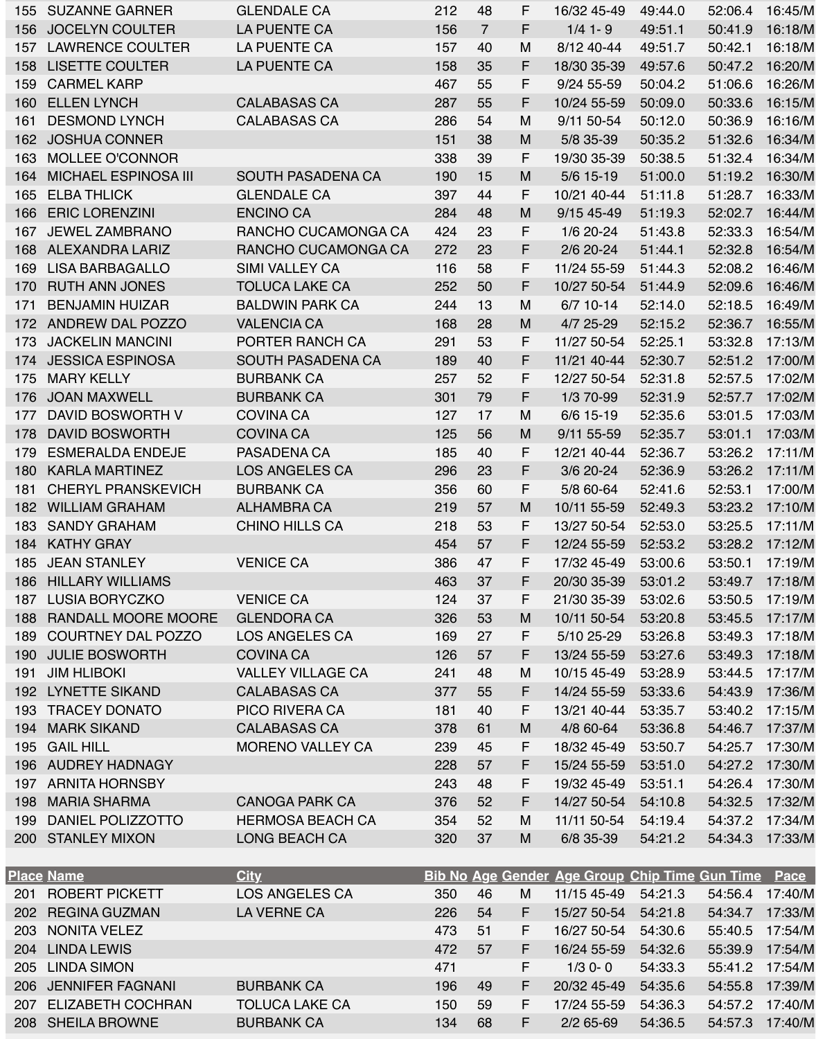| 155        | <b>SUZANNE GARNER</b>       | <b>GLENDALE CA</b>       | 212 | 48             | F  | 16/32 45-49 | 49:44.0 | 52:06.4 | 16:45/M |
|------------|-----------------------------|--------------------------|-----|----------------|----|-------------|---------|---------|---------|
| 156        | <b>JOCELYN COULTER</b>      | <b>LA PUENTE CA</b>      | 156 | $\overline{7}$ | F. | $1/4$ 1-9   | 49:51.1 | 50:41.9 | 16:18/M |
| 157        | <b>LAWRENCE COULTER</b>     | LA PUENTE CA             | 157 | 40             | M  | 8/12 40-44  | 49:51.7 | 50:42.1 | 16:18/M |
| 158        | <b>LISETTE COULTER</b>      | <b>LA PUENTE CA</b>      | 158 | 35             | F  | 18/30 35-39 | 49:57.6 | 50:47.2 | 16:20/M |
| 159        | <b>CARMEL KARP</b>          |                          | 467 | 55             | F. | 9/24 55-59  | 50:04.2 | 51:06.6 | 16:26/M |
| 160        | <b>ELLEN LYNCH</b>          | <b>CALABASAS CA</b>      | 287 | 55             | F. | 10/24 55-59 | 50:09.0 | 50:33.6 | 16:15/M |
| 161        | <b>DESMOND LYNCH</b>        | <b>CALABASAS CA</b>      | 286 | 54             | M  | 9/11 50-54  | 50:12.0 | 50:36.9 | 16:16/M |
| 162        | <b>JOSHUA CONNER</b>        |                          | 151 | 38             | M  | 5/8 35-39   | 50:35.2 | 51:32.6 | 16:34/M |
| 163        | <b>MOLLEE O'CONNOR</b>      |                          | 338 | 39             | F  | 19/30 35-39 | 50:38.5 | 51:32.4 | 16:34/M |
| 164        | <b>MICHAEL ESPINOSA III</b> | <b>SOUTH PASADENA CA</b> | 190 | 15             | M  | 5/6 15-19   | 51:00.0 | 51:19.2 | 16:30/M |
| 165        | <b>ELBA THLICK</b>          | <b>GLENDALE CA</b>       | 397 | 44             | F  | 10/21 40-44 | 51:11.8 | 51:28.7 | 16:33/M |
| 166        | <b>ERIC LORENZINI</b>       | <b>ENCINO CA</b>         | 284 | 48             | M  | 9/15 45-49  | 51:19.3 | 52:02.7 | 16:44/M |
| 167        | <b>JEWEL ZAMBRANO</b>       | RANCHO CUCAMONGA CA      | 424 | 23             | F  | 1/6 20-24   | 51:43.8 | 52:33.3 | 16:54/M |
| 168        | ALEXANDRA LARIZ             | RANCHO CUCAMONGA CA      | 272 | 23             | F. | $2/6$ 20-24 | 51:44.1 | 52:32.8 | 16:54/M |
| 169        | <b>LISA BARBAGALLO</b>      | <b>SIMI VALLEY CA</b>    | 116 | 58             | F. | 11/24 55-59 | 51:44.3 | 52:08.2 | 16:46/M |
| 170        | <b>RUTH ANN JONES</b>       | <b>TOLUCA LAKE CA</b>    | 252 | 50             | F  | 10/27 50-54 | 51:44.9 | 52:09.6 | 16:46/M |
| 171        | <b>BENJAMIN HUIZAR</b>      | <b>BALDWIN PARK CA</b>   | 244 | 13             | M  | $6/7$ 10-14 | 52:14.0 | 52:18.5 | 16:49/M |
|            | 172 ANDREW DAL POZZO        | <b>VALENCIA CA</b>       | 168 | 28             | M  | 4/7 25-29   | 52:15.2 | 52:36.7 | 16:55/M |
| 173        | <b>JACKELIN MANCINI</b>     | <b>PORTER RANCH CA</b>   | 291 | 53             | F. | 11/27 50-54 | 52:25.1 | 53:32.8 | 17:13/M |
| 174        | <b>JESSICA ESPINOSA</b>     | <b>SOUTH PASADENA CA</b> | 189 | 40             | F. | 11/21 40-44 | 52:30.7 | 52:51.2 | 17:00/M |
| 175        | <b>MARY KELLY</b>           | <b>BURBANK CA</b>        | 257 | 52             | F  | 12/27 50-54 | 52:31.8 | 52:57.5 | 17:02/M |
| 176        | <b>JOAN MAXWELL</b>         | <b>BURBANK CA</b>        | 301 | 79             | F. | 1/3 70-99   | 52:31.9 | 52:57.7 | 17:02/M |
| 177        | DAVID BOSWORTH V            | <b>COVINA CA</b>         | 127 | 17             | M  | 6/6 15-19   | 52:35.6 | 53:01.5 | 17:03/M |
| 178        | <b>DAVID BOSWORTH</b>       | <b>COVINA CA</b>         | 125 | 56             | M  | 9/11 55-59  | 52:35.7 | 53:01.1 | 17:03/M |
| 179        | <b>ESMERALDA ENDEJE</b>     | PASADENA CA              | 185 | 40             | F  | 12/21 40-44 | 52:36.7 | 53:26.2 | 17:11/M |
| 180        | <b>KARLA MARTINEZ</b>       | <b>LOS ANGELES CA</b>    | 296 | 23             | F  | 3/6 20-24   | 52:36.9 | 53:26.2 | 17:11/M |
| 181        | <b>CHERYL PRANSKEVICH</b>   | <b>BURBANK CA</b>        | 356 | 60             | F. | 5/8 60-64   | 52:41.6 | 52:53.1 | 17:00/M |
| 182        | <b>WILLIAM GRAHAM</b>       | <b>ALHAMBRA CA</b>       | 219 | 57             | M  | 10/11 55-59 | 52:49.3 | 53:23.2 | 17:10/M |
| 183        | <b>SANDY GRAHAM</b>         | <b>CHINO HILLS CA</b>    | 218 | 53             | F  | 13/27 50-54 | 52:53.0 | 53:25.5 | 17:11/M |
| 184        | <b>KATHY GRAY</b>           |                          | 454 | 57             | F. | 12/24 55-59 | 52:53.2 | 53:28.2 | 17:12/M |
| 185        | <b>JEAN STANLEY</b>         | <b>VENICE CA</b>         | 386 | 47             | F. | 17/32 45-49 | 53:00.6 | 53:50.1 | 17:19/M |
| 186        | <b>HILLARY WILLIAMS</b>     |                          | 463 | 37             | F  | 20/30 35-39 | 53:01.2 | 53:49.7 | 17:18/M |
| 187        | <b>LUSIA BORYCZKO</b>       | <b>VENICE CA</b>         | 124 | 37             | F. | 21/30 35-39 | 53:02.6 | 53:50.5 | 17:19/M |
| 188        | <b>RANDALL MOORE MOORE</b>  | <b>GLENDORA CA</b>       | 326 | 53             | M  | 10/11 50-54 | 53:20.8 | 53:45.5 | 17:17/M |
| 189        | <b>COURTNEY DAL POZZO</b>   | LOS ANGELES CA           | 169 | 27             | F  | 5/10 25-29  | 53:26.8 | 53:49.3 | 17:18/M |
| 190        | <b>JULIE BOSWORTH</b>       | <b>COVINA CA</b>         | 126 | 57             | F  | 13/24 55-59 | 53:27.6 | 53:49.3 | 17:18/M |
| 191        | <b>JIM HLIBOKI</b>          | <b>VALLEY VILLAGE CA</b> | 241 | 48             | M  | 10/15 45-49 | 53:28.9 | 53:44.5 | 17:17/M |
| 192        | <b>LYNETTE SIKAND</b>       | <b>CALABASAS CA</b>      | 377 | 55             | F. | 14/24 55-59 | 53:33.6 | 54:43.9 | 17:36/M |
| 193        | <b>TRACEY DONATO</b>        | <b>PICO RIVERA CA</b>    | 181 | 40             | F. | 13/21 40-44 | 53:35.7 | 53:40.2 | 17:15/M |
| 194        | <b>MARK SIKAND</b>          | <b>CALABASAS CA</b>      | 378 | 61             | M  | 4/8 60-64   | 53:36.8 | 54:46.7 | 17:37/M |
| 195        | <b>GAIL HILL</b>            | <b>MORENO VALLEY CA</b>  | 239 | 45             | F  | 18/32 45-49 | 53:50.7 | 54:25.7 | 17:30/M |
| 196        | <b>AUDREY HADNAGY</b>       |                          | 228 | 57             | F  | 15/24 55-59 | 53:51.0 | 54:27.2 | 17:30/M |
| 197        | <b>ARNITA HORNSBY</b>       |                          | 243 | 48             | F. | 19/32 45-49 | 53:51.1 | 54:26.4 | 17:30/M |
| 198        | <b>MARIA SHARMA</b>         | <b>CANOGA PARK CA</b>    | 376 | 52             | F  | 14/27 50-54 | 54:10.8 | 54:32.5 | 17:32/M |
| 199        | DANIEL POLIZZOTTO           | <b>HERMOSA BEACH CA</b>  | 354 | 52             | M  | 11/11 50-54 | 54:19.4 | 54:37.2 | 17:34/M |
| <b>200</b> | <b>STANLEY MIXON</b>        | <b>LONG BEACH CA</b>     | 320 | 37             | M  | 6/8 35-39   | 54:21.2 | 54:34.3 | 17:33/M |
|            |                             |                          |     |                |    |             |         |         |         |

|     | <b>Place Name</b>     | <b>City</b>           |     |    |    | <b>Bib No Age Gender Age Group Chip Time Gun Time Pace</b> |         |                 |         |
|-----|-----------------------|-----------------------|-----|----|----|------------------------------------------------------------|---------|-----------------|---------|
| 201 | <b>ROBERT PICKETT</b> | <b>LOS ANGELES CA</b> | 350 | 46 | M  | 11/15 45-49                                                | 54:21.3 | 54:56.4         | 17:40/M |
|     | 202 REGINA GUZMAN     | <b>LA VERNE CA</b>    | 226 | 54 | F. | 15/27 50-54 54:21.8                                        |         | 54:34.7         | 17:33/M |
|     | 203 NONITA VELEZ      |                       | 473 | 51 | F  | 16/27 50-54                                                | 54:30.6 | 55:40.5 17:54/M |         |
|     | 204 LINDA LEWIS       |                       | 472 | 57 | F. | 16/24 55-59                                                | 54:32.6 | 55:39.9         | 17:54/M |
|     | 205 LINDA SIMON       |                       | 471 |    | F. | $1/3$ 0-0                                                  | 54:33.3 | 55:41.2 17:54/M |         |
|     | 206 JENNIFER FAGNANI  | <b>BURBANK CA</b>     | 196 | 49 | F. | 20/32 45-49                                                | 54:35.6 | 54:55.8         | 17:39/M |
|     | 207 ELIZABETH COCHRAN | <b>TOLUCA LAKE CA</b> | 150 | 59 | F. | 17/24 55-59                                                | 54:36.3 | 54:57.2 17:40/M |         |
|     | 208 SHEILA BROWNE     | <b>BURBANK CA</b>     | 134 | 68 | F. | $2/2$ 65-69                                                | 54:36.5 | 54:57.3         | 17:40/M |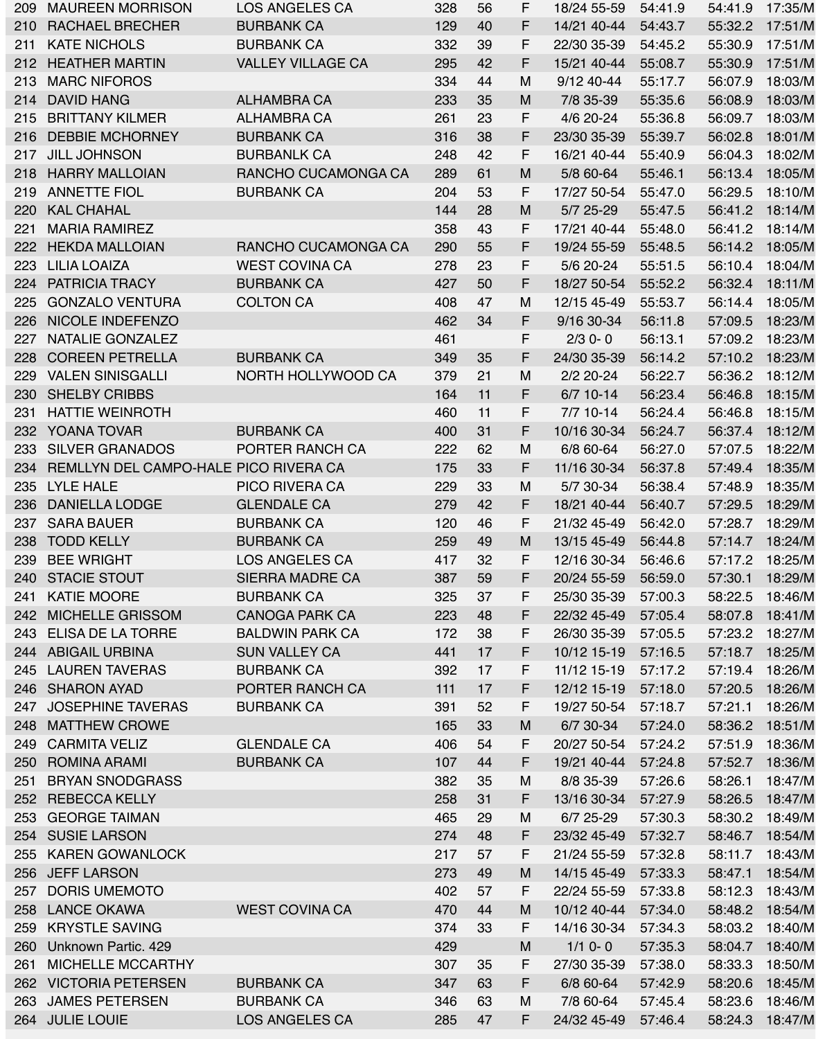| 209 | <b>MAUREEN MORRISON</b>               | LOS ANGELES CA           | 328   | 56 | F  | 18/24 55-59 | 54:41.9 | 54:41.9 | 17:35/M |
|-----|---------------------------------------|--------------------------|-------|----|----|-------------|---------|---------|---------|
| 210 | <b>RACHAEL BRECHER</b>                | <b>BURBANK CA</b>        | 129   | 40 | F. | 14/21 40-44 | 54:43.7 | 55:32.2 | 17:51/M |
| 211 | <b>KATE NICHOLS</b>                   | <b>BURBANK CA</b>        | 332   | 39 | F  | 22/30 35-39 | 54:45.2 | 55:30.9 | 17:51/M |
| 212 | <b>HEATHER MARTIN</b>                 | <b>VALLEY VILLAGE CA</b> | 295   | 42 | F. | 15/21 40-44 | 55:08.7 | 55:30.9 | 17:51/M |
| 213 | <b>MARC NIFOROS</b>                   |                          | 334   | 44 | M  | 9/12 40-44  | 55:17.7 | 56:07.9 | 18:03/M |
| 214 | <b>DAVID HANG</b>                     | <b>ALHAMBRA CA</b>       | 233   | 35 | M  | 7/8 35-39   | 55:35.6 | 56:08.9 | 18:03/M |
| 215 | <b>BRITTANY KILMER</b>                | ALHAMBRA CA              | 261   | 23 | F. | 4/6 20-24   | 55:36.8 | 56:09.7 | 18:03/M |
| 216 | <b>DEBBIE MCHORNEY</b>                | <b>BURBANK CA</b>        | 316   | 38 | F. | 23/30 35-39 | 55:39.7 | 56:02.8 | 18:01/M |
| 217 | <b>JILL JOHNSON</b>                   | <b>BURBANLK CA</b>       | 248   | 42 | F. | 16/21 40-44 | 55:40.9 | 56:04.3 | 18:02/M |
| 218 | <b>HARRY MALLOIAN</b>                 | RANCHO CUCAMONGA CA      | 289   | 61 | M  | 5/8 60-64   | 55:46.1 | 56:13.4 | 18:05/M |
| 219 | <b>ANNETTE FIOL</b>                   | <b>BURBANK CA</b>        | 204   | 53 | F. | 17/27 50-54 | 55:47.0 | 56:29.5 | 18:10/M |
| 220 | <b>KAL CHAHAL</b>                     |                          | 144   | 28 | M  | 5/7 25-29   | 55:47.5 | 56:41.2 | 18:14/M |
| 221 | <b>MARIA RAMIREZ</b>                  |                          | 358   | 43 | F. | 17/21 40-44 | 55:48.0 | 56:41.2 | 18:14/M |
| 222 | <b>HEKDA MALLOIAN</b>                 | RANCHO CUCAMONGA CA      | 290   | 55 | F. | 19/24 55-59 | 55:48.5 | 56:14.2 | 18:05/M |
|     | <b>LILIA LOAIZA</b>                   |                          |       |    | F. |             |         |         |         |
| 223 |                                       | <b>WEST COVINA CA</b>    | 278   | 23 |    | 5/6 20-24   | 55:51.5 | 56:10.4 | 18:04/M |
| 224 | <b>PATRICIA TRACY</b>                 | <b>BURBANK CA</b>        | 427   | 50 | F. | 18/27 50-54 | 55:52.2 | 56:32.4 | 18:11/M |
| 225 | <b>GONZALO VENTURA</b>                | <b>COLTON CA</b>         | 408   | 47 | M  | 12/15 45-49 | 55:53.7 | 56:14.4 | 18:05/M |
|     | 226 NICOLE INDEFENZO                  |                          | 462   | 34 | F. | 9/16 30-34  | 56:11.8 | 57:09.5 | 18:23/M |
| 227 | NATALIE GONZALEZ                      |                          | 461   |    | F. | $2/3$ 0-0   | 56:13.1 | 57:09.2 | 18:23/M |
| 228 | <b>COREEN PETRELLA</b>                | <b>BURBANK CA</b>        | 349   | 35 | F. | 24/30 35-39 | 56:14.2 | 57:10.2 | 18:23/M |
| 229 | <b>VALEN SINISGALLI</b>               | NORTH HOLLYWOOD CA       | 379   | 21 | M  | $2/2$ 20-24 | 56:22.7 | 56:36.2 | 18:12/M |
| 230 | <b>SHELBY CRIBBS</b>                  |                          | 164   | 11 | F. | 6/7 10-14   | 56:23.4 | 56:46.8 | 18:15/M |
| 231 | <b>HATTIE WEINROTH</b>                |                          | 460   | 11 | F. | $7/7$ 10-14 | 56:24.4 | 56:46.8 | 18:15/M |
| 232 | <b>YOANA TOVAR</b>                    | <b>BURBANK CA</b>        | 400   | 31 | F. | 10/16 30-34 | 56:24.7 | 56:37.4 | 18:12/M |
| 233 | <b>SILVER GRANADOS</b>                | PORTER RANCH CA          | 222   | 62 | M  | 6/8 60-64   | 56:27.0 | 57:07.5 | 18:22/M |
| 234 | REMLLYN DEL CAMPO-HALE PICO RIVERA CA |                          | 175   | 33 | F. | 11/16 30-34 | 56:37.8 | 57:49.4 | 18:35/M |
| 235 | LYLE HALE                             | <b>PICO RIVERA CA</b>    | 229   | 33 | M  | 5/7 30-34   | 56:38.4 | 57:48.9 | 18:35/M |
| 236 | <b>DANIELLA LODGE</b>                 | <b>GLENDALE CA</b>       | 279   | 42 | F  | 18/21 40-44 | 56:40.7 | 57:29.5 | 18:29/M |
| 237 | <b>SARA BAUER</b>                     | <b>BURBANK CA</b>        | 120   | 46 | F. | 21/32 45-49 | 56:42.0 | 57:28.7 | 18:29/M |
| 238 | <b>TODD KELLY</b>                     | <b>BURBANK CA</b>        | 259   | 49 | M  | 13/15 45-49 | 56:44.8 | 57:14.7 | 18:24/M |
| 239 | <b>BEE WRIGHT</b>                     | <b>LOS ANGELES CA</b>    | 417   | 32 | F. | 12/16 30-34 | 56:46.6 | 57:17.2 | 18:25/M |
| 240 | <b>STACIE STOUT</b>                   | <b>SIERRA MADRE CA</b>   | 387   | 59 | F  | 20/24 55-59 | 56:59.0 | 57:30.1 | 18:29/M |
| 241 | <b>KATIE MOORE</b>                    | <b>BURBANK CA</b>        | 325   | 37 | F. | 25/30 35-39 | 57:00.3 | 58:22.5 | 18:46/M |
| 242 | <b>MICHELLE GRISSOM</b>               | <b>CANOGA PARK CA</b>    | 223   | 48 | F  | 22/32 45-49 | 57:05.4 | 58:07.8 | 18:41/M |
| 243 | <b>ELISA DE LA TORRE</b>              | <b>BALDWIN PARK CA</b>   | 172   | 38 | F  | 26/30 35-39 | 57:05.5 | 57:23.2 | 18:27/M |
| 244 | ABIGAIL URBINA                        | <b>SUN VALLEY CA</b>     | 441   | 17 | F. | 10/12 15-19 | 57:16.5 | 57:18.7 | 18:25/M |
| 245 | <b>LAUREN TAVERAS</b>                 | <b>BURBANK CA</b>        | 392   | 17 | F. | 11/12 15-19 | 57:17.2 | 57:19.4 | 18:26/M |
|     | <b>SHARON AYAD</b>                    |                          |       | 17 | F. |             |         |         |         |
| 246 |                                       | PORTER RANCH CA          | $111$ |    |    | 12/12 15-19 | 57:18.0 | 57:20.5 | 18:26/M |
| 247 | <b>JOSEPHINE TAVERAS</b>              | <b>BURBANK CA</b>        | 391   | 52 | F. | 19/27 50-54 | 57:18.7 | 57:21.1 | 18:26/M |
| 248 | <b>MATTHEW CROWE</b>                  |                          | 165   | 33 | M  | 6/7 30-34   | 57:24.0 | 58:36.2 | 18:51/M |
| 249 | <b>CARMITA VELIZ</b>                  | <b>GLENDALE CA</b>       | 406   | 54 | F. | 20/27 50-54 | 57:24.2 | 57:51.9 | 18:36/M |
| 250 | <b>ROMINA ARAMI</b>                   | <b>BURBANK CA</b>        | 107   | 44 | F. | 19/21 40-44 | 57:24.8 | 57:52.7 | 18:36/M |
| 251 | <b>BRYAN SNODGRASS</b>                |                          | 382   | 35 | M  | 8/8 35-39   | 57:26.6 | 58:26.1 | 18:47/M |
| 252 | <b>REBECCA KELLY</b>                  |                          | 258   | 31 | F. | 13/16 30-34 | 57:27.9 | 58:26.5 | 18:47/M |
| 253 | <b>GEORGE TAIMAN</b>                  |                          | 465   | 29 | M  | 6/7 25-29   | 57:30.3 | 58:30.2 | 18:49/M |
| 254 | <b>SUSIE LARSON</b>                   |                          | 274   | 48 | F  | 23/32 45-49 | 57:32.7 | 58:46.7 | 18:54/M |
| 255 | <b>KAREN GOWANLOCK</b>                |                          | 217   | 57 | F. | 21/24 55-59 | 57:32.8 | 58:11.7 | 18:43/M |
| 256 | <b>JEFF LARSON</b>                    |                          | 273   | 49 | M  | 14/15 45-49 | 57:33.3 | 58:47.1 | 18:54/M |
| 257 | <b>DORIS UMEMOTO</b>                  |                          | 402   | 57 | F. | 22/24 55-59 | 57:33.8 | 58:12.3 | 18:43/M |
| 258 | <b>LANCE OKAWA</b>                    | <b>WEST COVINA CA</b>    | 470   | 44 | M  | 10/12 40-44 | 57:34.0 | 58:48.2 | 18:54/M |
| 259 | <b>KRYSTLE SAVING</b>                 |                          | 374   | 33 | F. | 14/16 30-34 | 57:34.3 | 58:03.2 | 18:40/M |
| 260 | Unknown Partic. 429                   |                          | 429   |    | M  | $1/1$ 0-0   | 57:35.3 | 58:04.7 | 18:40/M |
| 261 | <b>MICHELLE MCCARTHY</b>              |                          | 307   | 35 | F  | 27/30 35-39 | 57:38.0 | 58:33.3 | 18:50/M |
| 262 | <b>VICTORIA PETERSEN</b>              | <b>BURBANK CA</b>        | 347   | 63 | F. | 6/8 60-64   | 57:42.9 | 58:20.6 | 18:45/M |
| 263 | <b>JAMES PETERSEN</b>                 | <b>BURBANK CA</b>        | 346   | 63 | M  | 7/8 60-64   | 57:45.4 | 58:23.6 | 18:46/M |
|     | 264 JULIE LOUIE                       | <b>LOS ANGELES CA</b>    | 285   | 47 | F. | 24/32 45-49 | 57:46.4 | 58:24.3 | 18:47/M |
|     |                                       |                          |       |    |    |             |         |         |         |